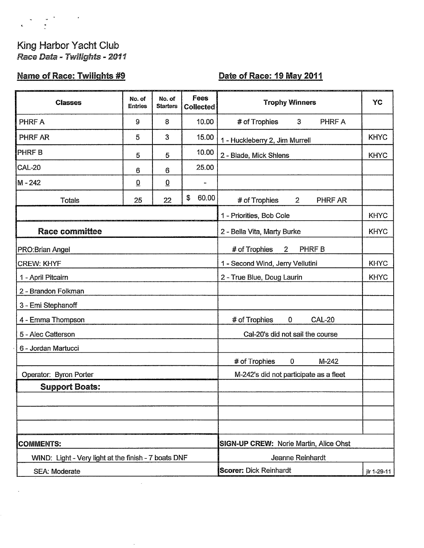# $\label{eq:2.1} \begin{array}{ccccc} \mathbf{v} & \mathbf{v} & \mathbf{v} & \mathbf{v} & \mathbf{v} \\ \mathbf{v} & \mathbf{v} & \mathbf{v} & \mathbf{v} & \mathbf{v} \\ \mathbf{v} & \mathbf{v} & \mathbf{v} & \mathbf{v} & \mathbf{v} \end{array}$

 $\bar{\mathbf{r}}$ 

## King Harbor Yacht Club Race Data - Twilights - 2011

## **Name of Race: Twilights #9**

#### Date of Race: 19 May 2011

| <b>Classes</b>                                       | No. of<br><b>Entries</b> | No. of<br><b>Starters</b> | Fees<br><b>Collected</b>                      | <b>Trophy Winners</b>                     | YC          |  |
|------------------------------------------------------|--------------------------|---------------------------|-----------------------------------------------|-------------------------------------------|-------------|--|
| PHRF A                                               | 9                        | 8                         | 10.00                                         | $\mathbf{3}$<br>PHRF A<br># of Trophies   |             |  |
| PHRF AR                                              | 5                        | 3                         | 15.00                                         | 1 - Huckleberry 2, Jim Murrell            | <b>KHYC</b> |  |
| <b>PHRFB</b>                                         | 5                        | 5                         | 10.00                                         | 2 - Blade, Mick Shlens                    | <b>KHYC</b> |  |
| <b>CAL-20</b>                                        | 6                        | 6                         | 25.00                                         |                                           |             |  |
| M-242                                                | $\overline{0}$           | $\underline{0}$           | $\overline{\phantom{a}}$                      |                                           |             |  |
| <b>Totals</b>                                        | 25                       | 22                        | \$<br>60.00                                   | # of Trophies<br>PHRF AR<br>$2^{\circ}$   |             |  |
|                                                      |                          |                           |                                               | 1 - Priorities, Bob Cole                  | <b>KHYC</b> |  |
| <b>Race committee</b>                                |                          |                           |                                               | 2 - Bella Vita, Marty Burke               | <b>KHYC</b> |  |
| <b>PRO:Brian Angel</b>                               |                          |                           |                                               | # of Trophies<br>PHRF B<br>$\overline{2}$ |             |  |
| <b>CREW: KHYF</b>                                    |                          |                           |                                               | 1 - Second Wind, Jerry Vellutini          | <b>KHYC</b> |  |
| 1 - April Pitcairn                                   |                          |                           | 2 - True Blue, Doug Laurin                    | <b>KHYC</b>                               |             |  |
| 2 - Brandon Folkman                                  |                          |                           |                                               |                                           |             |  |
| 3 - Emi Stephanoff                                   |                          |                           |                                               |                                           |             |  |
| 4 - Emma Thompson                                    |                          |                           |                                               | # of Trophies<br><b>CAL-20</b><br>0       |             |  |
| 5 - Alec Catterson                                   |                          |                           |                                               | Cal-20's did not sail the course          |             |  |
| 6 - Jordan Martucci                                  |                          |                           |                                               |                                           |             |  |
|                                                      |                          |                           |                                               | # of Trophies<br>$M-242$<br>0             |             |  |
| Operator: Byron Porter                               |                          |                           |                                               | M-242's did not participate as a fleet    |             |  |
| <b>Support Boats:</b>                                |                          |                           |                                               |                                           |             |  |
|                                                      |                          |                           |                                               |                                           |             |  |
|                                                      |                          |                           |                                               |                                           |             |  |
|                                                      |                          |                           |                                               |                                           |             |  |
| <b>COMMENTS:</b>                                     |                          |                           | <b>SIGN-UP CREW: Norie Martin, Alice Ohst</b> |                                           |             |  |
| WIND: Light - Very light at the finish - 7 boats DNF |                          |                           | Jeanne Reinhardt                              |                                           |             |  |
| SEA: Moderate                                        |                          |                           | <b>Scorer: Dick Reinhardt</b><br>jlr 1-29-11  |                                           |             |  |

 $\lambda$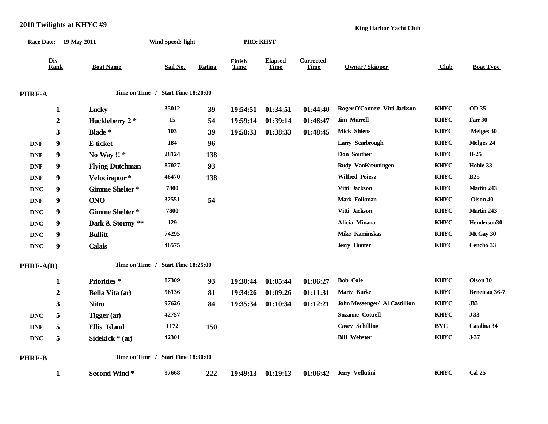| Race Date: 19 May 2011 |                  |                         | Wind Speed: light                  |               | <b>PRO: KHYF</b>      |                               |                          |                               |             |                  |
|------------------------|------------------|-------------------------|------------------------------------|---------------|-----------------------|-------------------------------|--------------------------|-------------------------------|-------------|------------------|
| Div<br>Rank            |                  | <b>Boat Name</b>        | Sail No.                           | <b>Rating</b> | Finish<br><b>Time</b> | <b>Elapsed</b><br><b>Time</b> | Corrected<br><b>Time</b> | <b>Owner / Skipper</b>        | Club        | <b>Boat Type</b> |
| PHRF-A                 |                  |                         | Time on Time / Start Time 18:20:00 |               |                       |                               |                          |                               |             |                  |
|                        | $\mathbf{1}$     | Lucky                   | 35012                              | 39            | 19:54:51              | 01:34:51                      | 01:44:40                 | Roger O'Conner/ Vitti Jackson | <b>KHYC</b> | OD 35            |
|                        | $\boldsymbol{2}$ | Huckleberry 2 *         | 15                                 | 54            | 19:59:14              | 01:39:14                      | 01:46:47                 | Jim Murrell                   | <b>KHYC</b> | Farr 30          |
|                        | 3                | Blade *                 | 103                                | 39            | 19:58:33              | 01:38:33                      | 01:48:45                 | <b>Mick Shlens</b>            | <b>KHYC</b> | Melges 30        |
| <b>DNF</b>             | 9                | E-ticket                | 184                                | 96            |                       |                               |                          | Larry Scarbrough              | <b>KHYC</b> | Melges 24        |
| <b>DNF</b>             | 9                | No Way !! *             | 28124                              | 138           |                       |                               |                          | Don Souther                   | <b>KHYC</b> | $B-25$           |
| <b>DNF</b>             | 9                | <b>Flying Dutchman</b>  | 87027                              | 93            |                       |                               |                          | Rudy VanKreuningen            | <b>KHYC</b> | Hobie 33         |
| <b>DNF</b>             | 9                | Velociraptor*           | 46470                              | 138           |                       |                               |                          | <b>Wilfred Poiesz</b>         | <b>KHYC</b> | <b>B25</b>       |
| <b>DNC</b>             | 9                | Gimme Shelter*          | 7800                               |               |                       |                               |                          | Vitti Jackson                 | <b>KHYC</b> | Martin 243       |
| <b>DNF</b>             | 9                | <b>ONO</b>              | 32551                              | 54            |                       |                               |                          | Mark Folkman                  | <b>KHYC</b> | Olson 40         |
| <b>DNC</b>             | 9                | Gimme Shelter*          | 7800                               |               |                       |                               |                          | Vitti Jackson                 | <b>KHYC</b> | Martin 243       |
| <b>DNC</b>             | 9                | Dark & Stormy **        | 129                                |               |                       |                               |                          | Alicia Minana                 | <b>KHYC</b> | Henderson30      |
| <b>DNC</b>             | 9                | <b>Bullitt</b>          | 74295                              |               |                       |                               |                          | Mike Kaminskas                | <b>KHYC</b> | Mt Gay 30        |
| <b>DNC</b>             | $\boldsymbol{9}$ | <b>Calais</b>           | 46575                              |               |                       |                               |                          | Jerry Hunter                  | <b>KHYC</b> | Cencho 33        |
| PHRF-A(R)              |                  |                         | Time on Time / Start Time 18:25:00 |               |                       |                               |                          |                               |             |                  |
|                        | 1                | Priorities <sup>*</sup> | 87309                              | 93            | 19:30:44              | 01:05:44                      | 01:06:27                 | <b>Bob Cole</b>               | <b>KHYC</b> | Olson 30         |
|                        | $\boldsymbol{2}$ | Bella Vita (ar)         | 56136                              | 81            | 19:34:26              | 01:09:26                      | 01:11:31                 | <b>Marty Burke</b>            | <b>KHYC</b> | Beneteau 36-7    |
|                        | 3                | <b>Nitro</b>            | 97626                              | 84            | 19:35:34              | 01:10:34                      | 01:12:21                 | John Messenger/ Al Castillion | <b>KHYC</b> | J33              |
| <b>DNC</b>             | 5                | Tigger (ar)             | 42757                              |               |                       |                               |                          | <b>Suzanne Cottrell</b>       | <b>KHYC</b> | J33              |
| <b>DNF</b>             | 5                | Ellis Island            | 1172                               | 150           |                       |                               |                          | <b>Casey Schilling</b>        | <b>BYC</b>  | Catalina 34      |
| <b>DNC</b>             | 5                | Sidekick * (ar)         | 42301                              |               |                       |                               |                          | <b>Bill Webster</b>           | <b>KHYC</b> | $J-37$           |
| PHRF-B                 |                  |                         | Time on Time / Start Time 18:30:00 |               |                       |                               |                          |                               |             |                  |

**1 Second Wind \* 97668 222 19:49:13 01:19:13 01:06:42 Jerry Vellutini KHYC Cal 25**

#### **2010 Twilights at KHYC #9**

**King Harbor Yacht Club**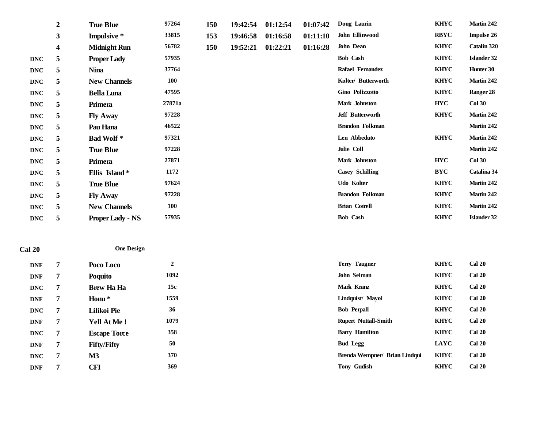|               | $\boldsymbol{2}$ | <b>True Blue</b>        | 97264      | 150 | 19:42:54 | 01:12:54 | 01:07:42 | Doug Laurin            | <b>KHYC</b> | Martin 242         |
|---------------|------------------|-------------------------|------------|-----|----------|----------|----------|------------------------|-------------|--------------------|
|               | $\mathbf{3}$     | Impulsive *             | 33815      | 153 | 19:46:58 | 01:16:58 | 01:11:10 | John Ellinwood         | <b>RBYC</b> | <b>Impulse 26</b>  |
|               | 4                | <b>Midnight Run</b>     | 56782      | 150 | 19:52:21 | 01:22:21 | 01:16:28 | <b>John Dean</b>       | <b>KHYC</b> | Catalin 320        |
| <b>DNC</b>    | 5                | <b>Proper Lady</b>      | 57935      |     |          |          |          | <b>Bob Cash</b>        | <b>KHYC</b> | <b>Islander 32</b> |
| <b>DNC</b>    | 5                | <b>Nina</b>             | 37764      |     |          |          |          | Rafael Fernandez       | <b>KHYC</b> | Hunter 30          |
| <b>DNC</b>    | 5                | <b>New Channels</b>     | <b>100</b> |     |          |          |          | Kolter/ Butterworth    | <b>KHYC</b> | Martin 242         |
| <b>DNC</b>    | 5                | <b>Bella Luna</b>       | 47595      |     |          |          |          | Gino Polizzotto        | <b>KHYC</b> | Ranger 28          |
| <b>DNC</b>    | 5                | Primera                 | 27871a     |     |          |          |          | Mark Johnston          | <b>HYC</b>  | <b>Col 30</b>      |
| <b>DNC</b>    | 5                | <b>Fly Away</b>         | 97228      |     |          |          |          | Jeff Butterworth       | <b>KHYC</b> | Martin 242         |
| <b>DNC</b>    | 5                | Pau Hana                | 46522      |     |          |          |          | <b>Brandon Folkman</b> |             | Martin 242         |
| <b>DNC</b>    | 5                | <b>Bad Wolf*</b>        | 97321      |     |          |          |          | Len Abbeduto           | <b>KHYC</b> | Martin 242         |
| <b>DNC</b>    | 5                | <b>True Blue</b>        | 97228      |     |          |          |          | Julie Coll             |             | Martin 242         |
| <b>DNC</b>    | 5                | Primera                 | 27871      |     |          |          |          | Mark Johnston          | <b>HYC</b>  | <b>Col 30</b>      |
| <b>DNC</b>    | 5                | Ellis Island*           | 1172       |     |          |          |          | <b>Casey Schilling</b> | <b>BYC</b>  | Catalina 34        |
| <b>DNC</b>    | 5                | <b>True Blue</b>        | 97624      |     |          |          |          | Udo Kolter             | <b>KHYC</b> | Martin 242         |
| <b>DNC</b>    | 5                | <b>Fly Away</b>         | 97228      |     |          |          |          | <b>Brandon Folkman</b> | <b>KHYC</b> | Martin 242         |
| <b>DNC</b>    | 5                | <b>New Channels</b>     | 100        |     |          |          |          | <b>Brian Cotrell</b>   | <b>KHYC</b> | Martin 242         |
| <b>DNC</b>    | 5                | <b>Proper Lady - NS</b> | 57935      |     |          |          |          | <b>Bob Cash</b>        | <b>KHYC</b> | <b>Islander 32</b> |
|               |                  |                         |            |     |          |          |          |                        |             |                    |
| <b>Cal 20</b> |                  | <b>One Design</b>       |            |     |          |          |          |                        |             |                    |

| <b>DNF</b> | Poco Loco           | ◠<br>∠ | <b>Terry Taugner</b>          | <b>KHYC</b> | <b>Cal 20</b> |
|------------|---------------------|--------|-------------------------------|-------------|---------------|
| <b>DNF</b> | Poquito             | 1092   | John Selman                   | <b>KHYC</b> | <b>Cal 20</b> |
| <b>DNC</b> | <b>Brew Ha Ha</b>   | 15c    | Mark Kranz                    | <b>KHYC</b> | <b>Cal 20</b> |
| <b>DNF</b> | Honu <sup>*</sup>   | 1559   | Lindquist/ Mayol              | <b>KHYC</b> | <b>Cal 20</b> |
| <b>DNC</b> | Lilikoi Pie         | 36     | <b>Bob Perpall</b>            | <b>KHYC</b> | <b>Cal 20</b> |
| <b>DNF</b> | <b>Yell At Me!</b>  | 1079   | <b>Rupert Nuttall-Smith</b>   | <b>KHYC</b> | <b>Cal 20</b> |
| <b>DNC</b> | <b>Escape Torce</b> | 358    | <b>Barry Hamilton</b>         | <b>KHYC</b> | <b>Cal 20</b> |
| <b>DNF</b> | <b>Fifty/Fifty</b>  | 50     | <b>Bud Legg</b>               | <b>LAYC</b> | <b>Cal 20</b> |
| <b>DNC</b> | $\mathbf{M}3$       | 370    | Brenda Wempner/ Brian Lindqui | <b>KHYC</b> | <b>Cal 20</b> |
| <b>DNF</b> | <b>CFI</b>          | 369    | <b>Tony Gudish</b>            | <b>KHYC</b> | <b>Cal 20</b> |